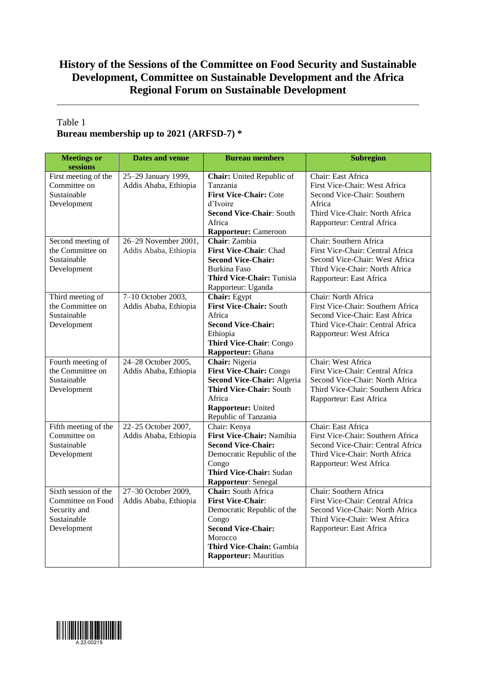# **History of the Sessions of the Committee on Food Security and Sustainable Development, Committee on Sustainable Development and the Africa Regional Forum on Sustainable Development**

## Table 1 **Bureau membership up to 2021 (ARFSD-7) \***

| <b>Meetings or</b><br>sessions                                                          | <b>Dates and venue</b>                        | <b>Bureau members</b>                                                                                                                                                                             | <b>Subregion</b>                                                                                                                                             |
|-----------------------------------------------------------------------------------------|-----------------------------------------------|---------------------------------------------------------------------------------------------------------------------------------------------------------------------------------------------------|--------------------------------------------------------------------------------------------------------------------------------------------------------------|
| First meeting of the<br>Committee on<br>Sustainable<br>Development                      | 25-29 January 1999,<br>Addis Ababa, Ethiopia  | Chair: United Republic of<br>Tanzania<br><b>First Vice-Chair: Cote</b><br>d'Ivoire<br><b>Second Vice-Chair: South</b><br>Africa<br><b>Rapporteur:</b> Cameroon                                    | Chair: East Africa<br>First Vice-Chair: West Africa<br>Second Vice-Chair: Southern<br>Africa<br>Third Vice-Chair: North Africa<br>Rapporteur: Central Africa |
| Second meeting of<br>the Committee on<br>Sustainable<br>Development                     | 26-29 November 2001,<br>Addis Ababa, Ethiopia | Chair: Zambia<br>First Vice-Chair: Chad<br><b>Second Vice-Chair:</b><br>Burkina Faso<br><b>Third Vice-Chair: Tunisia</b><br>Rapporteur: Uganda                                                    | Chair: Southern Africa<br>First Vice-Chair: Central Africa<br>Second Vice-Chair: West Africa<br>Third Vice-Chair: North Africa<br>Rapporteur: East Africa    |
| Third meeting of<br>the Committee on<br>Sustainable<br>Development                      | 7-10 October 2003,<br>Addis Ababa, Ethiopia   | Chair: Egypt<br><b>First Vice-Chair: South</b><br>Africa<br><b>Second Vice-Chair:</b><br>Ethiopia<br>Third Vice-Chair: Congo<br>Rapporteur: Ghana                                                 | Chair: North Africa<br>First Vice-Chair: Southern Africa<br>Second Vice-Chair: East Africa<br>Third Vice-Chair: Central Africa<br>Rapporteur: West Africa    |
| Fourth meeting of<br>the Committee on<br>Sustainable<br>Development                     | 24-28 October 2005,<br>Addis Ababa, Ethiopia  | Chair: Nigeria<br>First Vice-Chair: Congo<br>Second Vice-Chair: Algeria<br>Third Vice-Chair: South<br>Africa<br>Rapporteur: United<br>Republic of Tanzania                                        | Chair: West Africa<br>First Vice-Chair: Central Africa<br>Second Vice-Chair: North Africa<br>Third Vice-Chair: Southern Africa<br>Rapporteur: East Africa    |
| Fifth meeting of the<br>Committee on<br>Sustainable<br>Development                      | 22-25 October 2007,<br>Addis Ababa, Ethiopia  | Chair: Kenya<br>First Vice-Chair: Namibia<br><b>Second Vice-Chair:</b><br>Democratic Republic of the<br>Congo<br>Third Vice-Chair: Sudan<br>Rapporteur: Senegal                                   | Chair: East Africa<br>First Vice-Chair: Southern Africa<br>Second Vice-Chair: Central Africa<br>Third Vice-Chair: North Africa<br>Rapporteur: West Africa    |
| Sixth session of the<br>Committee on Food<br>Security and<br>Sustainable<br>Development | 27-30 October 2009,<br>Addis Ababa, Ethiopia  | <b>Chair:</b> South Africa<br><b>First Vice-Chair:</b><br>Democratic Republic of the<br>Congo<br><b>Second Vice-Chair:</b><br>Morocco<br>Third Vice-Chain: Gambia<br><b>Rapporteur:</b> Mauritius | Chair: Southern Africa<br>First Vice-Chair: Central Africa<br>Second Vice-Chair: North Africa<br>Third Vice-Chair: West Africa<br>Rapporteur: East Africa    |

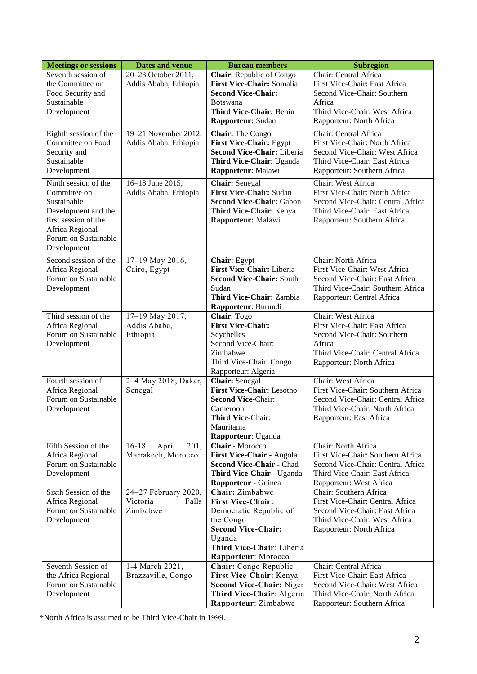| <b>Meetings or sessions</b>                                                                                                                                  | <b>Dates and venue</b>                                | <b>Bureau members</b>                                                                                                                                                         | <b>Subregion</b>                                                                                                                                             |
|--------------------------------------------------------------------------------------------------------------------------------------------------------------|-------------------------------------------------------|-------------------------------------------------------------------------------------------------------------------------------------------------------------------------------|--------------------------------------------------------------------------------------------------------------------------------------------------------------|
| Seventh session of<br>the Committee on<br>Food Security and<br>Sustainable<br>Development                                                                    | 20-23 October 2011,<br>Addis Ababa, Ethiopia          | Chair: Republic of Congo<br>First Vice-Chair: Somalia<br><b>Second Vice-Chair:</b><br>Botswana<br><b>Third Vice-Chair: Benin</b><br>Rapporteur: Sudan                         | Chair: Central Africa<br>First Vice-Chair: East Africa<br>Second Vice-Chair: Southern<br>Africa<br>Third Vice-Chair: West Africa<br>Rapporteur: North Africa |
| Eighth session of the<br>Committee on Food<br>Security and<br>Sustainable<br>Development                                                                     | 19-21 November 2012,<br>Addis Ababa, Ethiopia         | Chair: The Congo<br><b>First Vice-Chair: Egypt</b><br><b>Second Vice-Chair: Liberia</b><br>Third Vice-Chair: Uganda<br>Rapporteur: Malawi                                     | Chair: Central Africa<br>First Vice-Chair: North Africa<br>Second Vice-Chair: West Africa<br>Third Vice-Chair: East Africa<br>Rapporteur: Southern Africa    |
| Ninth session of the<br>Committee on<br>Sustainable<br>Development and the<br>first session of the<br>Africa Regional<br>Forum on Sustainable<br>Development | 16-18 June 2015,<br>Addis Ababa, Ethiopia             | <b>Chair:</b> Senegal<br><b>First Vice-Chair: Sudan</b><br><b>Second Vice-Chair: Gabon</b><br>Third Vice-Chair: Kenya<br>Rapporteur: Malawi                                   | Chair: West Africa<br>First Vice-Chair: North Africa<br>Second Vice-Chair: Central Africa<br>Third Vice-Chair: East Africa<br>Rapporteur: Southern Africa    |
| Second session of the<br>Africa Regional<br>Forum on Sustainable<br>Development                                                                              | 17-19 May 2016,<br>Cairo, Egypt                       | Chair: Egypt<br>First Vice-Chair: Liberia<br><b>Second Vice-Chair: South</b><br>Sudan<br><b>Third Vice-Chair: Zambia</b><br>Rapporteur: Burundi                               | Chair: North Africa<br>First Vice-Chair: West Africa<br>Second Vice-Chair: East Africa<br>Third Vice-Chair: Southern Africa<br>Rapporteur: Central Africa    |
| Third session of the<br>Africa Regional<br>Forum on Sustainable<br>Development                                                                               | 17-19 May 2017,<br>Addis Ababa,<br>Ethiopia           | Chair: Togo<br><b>First Vice-Chair:</b><br>Seychelles<br>Second Vice-Chair:<br>Zimbabwe<br>Third Vice-Chair: Congo<br>Rapporteur: Algeria                                     | Chair: West Africa<br>First Vice-Chair: East Africa<br>Second Vice-Chair: Southern<br>Africa<br>Third Vice-Chair: Central Africa<br>Rapporteur: North Africa |
| Fourth session of<br>Africa Regional<br>Forum on Sustainable<br>Development                                                                                  | 2-4 May 2018, Dakar,<br>Senegal                       | Chair: Senegal<br><b>First Vice-Chair: Lesotho</b><br><b>Second Vice-Chair:</b><br>Cameroon<br>Third Vice-Chair:<br>Mauritania<br>Rapporteur: Uganda                          | Chair: West Africa<br>First Vice-Chair: Southern Africa<br>Second Vice-Chair: Central Africa<br>Third Vice-Chair: North Africa<br>Rapporteur: East Africa    |
| Fifth Session of the<br>Africa Regional<br>Forum on Sustainable<br>Development                                                                               | $16 - 18$<br>April<br>201,<br>Marrakech, Morocco      | Chair - Morocco<br>First Vice-Chair - Angola<br>Second Vice-Chair - Chad<br>Third Vice-Chair - Uganda<br>Rapporteur - Guinea                                                  | Chair: North Africa<br>First Vice-Chair: Southern Africa<br>Second Vice-Chair: Central Africa<br>Third Vice-Chair: East Africa<br>Rapporteur: West Africa    |
| Sixth Session of the<br>Africa Regional<br>Forum on Sustainable<br>Development                                                                               | 24-27 February 2020,<br>Victoria<br>Falls<br>Zimbabwe | Chair: Zimbabwe<br><b>First Vice-Chair:</b><br>Democratic Republic of<br>the Congo<br><b>Second Vice-Chair:</b><br>Uganda<br>Third Vice-Chair: Liberia<br>Rapporteur: Morocco | Chair: Southern Africa<br>First Vice-Chair: Central Africa<br>Second Vice-Chair: East Africa<br>Third Vice-Chair: West Africa<br>Rapporteur: North Africa    |
| Seventh Session of<br>the Africa Regional<br>Forum on Sustainable<br>Development                                                                             | 1-4 March 2021,<br>Brazzaville, Congo                 | Chair: Congo Republic<br>First Vice-Chair: Kenya<br><b>Second Vice-Chair: Niger</b><br>Third Vice-Chair: Algeria<br>Rapporteur: Zimbabwe                                      | Chair: Central Africa<br>First Vice-Chair: East Africa<br>Second Vice-Chair: West Africa<br>Third Vice-Chair: North Africa<br>Rapporteur: Southern Africa    |

\*North Africa is assumed to be Third Vice-Chair in 1999.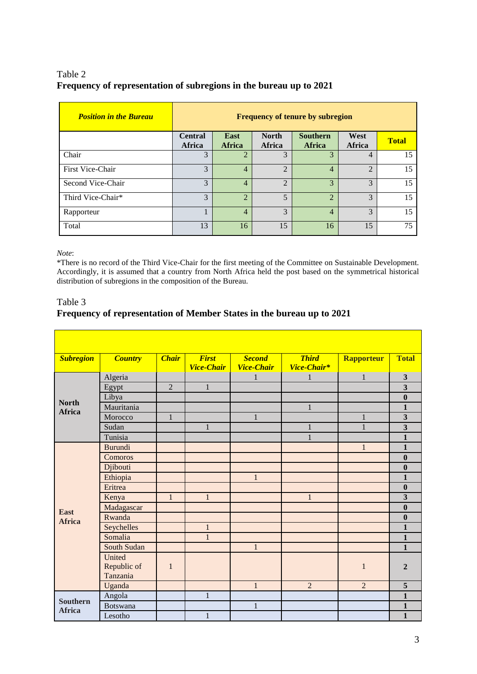## Table 2 **Frequency of representation of subregions in the bureau up to 2021**

| <b>Position in the Bureau</b> | <b>Frequency of tenure by subregion</b> |                             |                               |                                  |                             |              |
|-------------------------------|-----------------------------------------|-----------------------------|-------------------------------|----------------------------------|-----------------------------|--------------|
|                               | <b>Central</b><br>Africa                | East<br><b>Africa</b>       | <b>North</b><br><b>Africa</b> | <b>Southern</b><br><b>Africa</b> | West<br><b>Africa</b>       | <b>Total</b> |
| Chair                         | 3                                       | $\overline{2}$              | 3                             | 3                                | $\overline{4}$              | 15           |
| First Vice-Chair              | 3                                       | $\overline{4}$              | $\overline{2}$                | $\overline{4}$                   | $\mathcal{D}_{\mathcal{L}}$ | 15           |
| Second Vice-Chair             | 3                                       | $\overline{4}$              | $\mathfrak{D}$                | 3                                | $\mathcal{F}$               | 15           |
| Third Vice-Chair*             | 3                                       | $\mathcal{D}_{\mathcal{L}}$ | 5                             | $\mathcal{D}_{\mathcal{L}}$      | $\mathcal{F}$               | 15           |
| Rapporteur                    |                                         | $\overline{4}$              | 3                             | $\overline{4}$                   | $\mathcal{R}$               | 15           |
| Total                         | 13                                      | 16                          | 15                            | 16                               | 15                          | 75           |

*Note*:

\*There is no record of the Third Vice-Chair for the first meeting of the Committee on Sustainable Development. Accordingly, it is assumed that a country from North Africa held the post based on the symmetrical historical distribution of subregions in the composition of the Bureau.

Table 3

### **Frequency of representation of Member States in the bureau up to 2021**

| <b>Subregion</b>                 | <b>Country</b>                    | <b>Chair</b>   | <b>First</b><br><b>Vice-Chair</b> | <b>Second</b><br><b>Vice-Chair</b> | <b>Third</b><br>Vice-Chair* | <b>Rapporteur</b> | <b>Total</b>            |
|----------------------------------|-----------------------------------|----------------|-----------------------------------|------------------------------------|-----------------------------|-------------------|-------------------------|
| <b>North</b><br><b>Africa</b>    | Algeria                           |                |                                   | 1                                  | 1                           | $\mathbf{1}$      | $\mathbf{3}$            |
|                                  | Egypt                             | $\overline{2}$ | $\mathbf{1}$                      |                                    |                             |                   | $\overline{\mathbf{3}}$ |
|                                  | Libya                             |                |                                   |                                    |                             |                   | $\boldsymbol{0}$        |
|                                  | Mauritania                        |                |                                   |                                    | $\mathbf 1$                 |                   | $\mathbf{1}$            |
|                                  | Morocco                           | $\mathbf{1}$   |                                   | 1                                  |                             |                   | 3                       |
|                                  | Sudan                             |                | $\mathbf{1}$                      |                                    | 1                           |                   | 3                       |
|                                  | Tunisia                           |                |                                   |                                    | $\mathbf{1}$                |                   | $\mathbf{1}$            |
|                                  | <b>Burundi</b>                    |                |                                   |                                    |                             | $\mathbf{1}$      | $\mathbf{1}$            |
|                                  | Comoros                           |                |                                   |                                    |                             |                   | $\mathbf{0}$            |
|                                  | Djibouti                          |                |                                   |                                    |                             |                   | $\bf{0}$                |
|                                  | Ethiopia                          |                |                                   | $\mathbf{1}$                       |                             |                   | $\mathbf{1}$            |
|                                  | Eritrea                           |                |                                   |                                    |                             |                   | $\boldsymbol{0}$        |
|                                  | Kenya                             | $\mathbf{1}$   | $\mathbf{1}$                      |                                    | $\mathbf{1}$                |                   | $\overline{\mathbf{3}}$ |
| <b>East</b>                      | Madagascar                        |                |                                   |                                    |                             |                   | $\bf{0}$                |
| <b>Africa</b>                    | Rwanda                            |                |                                   |                                    |                             |                   | $\bf{0}$                |
|                                  | Seychelles                        |                | $\mathbf{1}$                      |                                    |                             |                   | $\mathbf{1}$            |
|                                  | Somalia                           |                | $\mathbf{1}$                      |                                    |                             |                   | 1                       |
|                                  | South Sudan                       |                |                                   | $\mathbf{1}$                       |                             |                   | $\mathbf{1}$            |
|                                  | United<br>Republic of<br>Tanzania | $\mathbf{1}$   |                                   |                                    |                             | $\mathbf{1}$      | $\overline{2}$          |
|                                  | Uganda                            |                |                                   | $\mathbf{1}$                       | $\overline{2}$              | $\overline{2}$    | 5                       |
|                                  | Angola                            |                | $\mathbf{1}$                      |                                    |                             |                   | $\mathbf{1}$            |
| <b>Southern</b><br><b>Africa</b> | Botswana                          |                |                                   | $\mathbf{1}$                       |                             |                   | $\mathbf{1}$            |
|                                  | Lesotho                           |                | $\mathbf{1}$                      |                                    |                             |                   | $\mathbf{1}$            |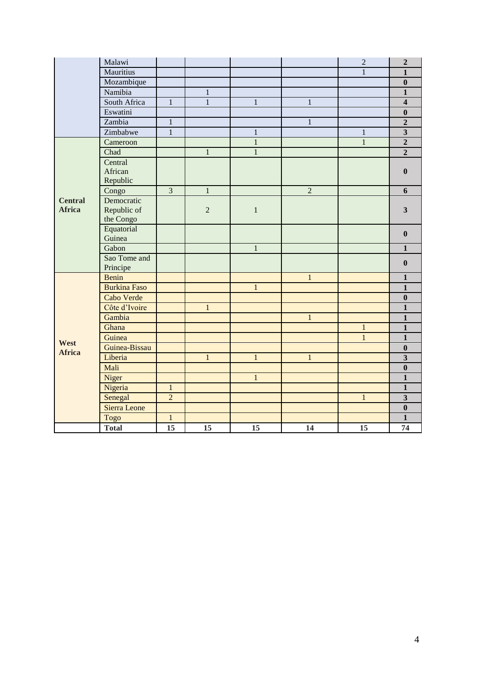|                | Malawi              |                 |                |              |                | $\overline{2}$ | $\boldsymbol{2}$        |
|----------------|---------------------|-----------------|----------------|--------------|----------------|----------------|-------------------------|
|                | Mauritius           |                 |                |              |                | $\mathbf{1}$   | $\overline{1}$          |
|                | Mozambique          |                 |                |              |                |                | $\bf{0}$                |
|                | Namibia             |                 | $\mathbf{1}$   |              |                |                | $\mathbf{1}$            |
|                | South Africa        | $\mathbf{1}$    | $\mathbf{1}$   | $\,1$        | $\mathbf{1}$   |                | $\overline{\mathbf{4}}$ |
|                | Eswatini            |                 |                |              |                |                | $\boldsymbol{0}$        |
|                | Zambia              | $\mathbf{1}$    |                |              | $\mathbf{1}$   |                | $\overline{2}$          |
|                | Zimbabwe            | $\mathbf{1}$    |                | $\mathbf 1$  |                | $\,1$          | $\overline{\mathbf{3}}$ |
|                | Cameroon            |                 |                | $\mathbf{1}$ |                | $\mathbf{1}$   | $\overline{2}$          |
|                | Chad                |                 | $\mathbf{1}$   | $\,1$        |                |                | $\overline{2}$          |
|                | Central             |                 |                |              |                |                |                         |
|                | African             |                 |                |              |                |                | $\bf{0}$                |
|                | Republic            |                 |                |              |                |                |                         |
|                | Congo               | $\overline{3}$  | $\overline{1}$ |              | $\overline{2}$ |                | 6                       |
| <b>Central</b> | Democratic          |                 |                |              |                |                |                         |
| <b>Africa</b>  | Republic of         |                 | $\overline{2}$ | $\mathbf{1}$ |                |                | $\mathbf{3}$            |
|                | the Congo           |                 |                |              |                |                |                         |
|                | Equatorial          |                 |                |              |                |                | $\bf{0}$                |
|                | Guinea              |                 |                |              |                |                |                         |
|                | Gabon               |                 |                | $\,1$        |                |                | $\mathbf{1}$            |
|                | Sao Tome and        |                 |                |              |                |                | $\boldsymbol{0}$        |
|                | Principe            |                 |                |              |                |                |                         |
|                | <b>Benin</b>        |                 |                |              | $\mathbf 1$    |                | $\mathbf{1}$            |
|                | <b>Burkina Faso</b> |                 |                | $\mathbf{1}$ |                |                | $\mathbf{1}$            |
|                | Cabo Verde          |                 |                |              |                |                | $\boldsymbol{0}$        |
|                | Côte d'Ivoire       |                 | $\mathbf{1}$   |              |                |                | $\mathbf{1}$            |
|                | Gambia              |                 |                |              | $\mathbf{1}$   |                | $\mathbf{1}$            |
|                | Ghana               |                 |                |              |                | $\mathbf{1}$   | $\mathbf{1}$            |
| West           | Guinea              |                 |                |              |                | $\overline{1}$ | $\overline{1}$          |
| <b>Africa</b>  | Guinea-Bissau       |                 |                |              |                |                | $\boldsymbol{0}$        |
|                | Liberia             |                 | $\mathbf{1}$   | $\mathbf{1}$ | $\mathbf{1}$   |                | $\overline{\mathbf{3}}$ |
|                | Mali                |                 |                |              |                |                | $\bf{0}$                |
|                | Niger               |                 |                | $\mathbf{1}$ |                |                | $\mathbf{1}$            |
|                | Nigeria             | $\mathbf{1}$    |                |              |                |                | $\overline{\mathbf{1}}$ |
|                | Senegal             | $\overline{2}$  |                |              |                | $\mathbf{1}$   | $\overline{\mathbf{3}}$ |
|                | Sierra Leone        |                 |                |              |                |                | $\bf{0}$                |
|                | Togo                | $\mathbf{1}$    |                |              |                |                | $\mathbf{1}$            |
|                | <b>Total</b>        | $\overline{15}$ | 15             | 15           | 14             | 15             | 74                      |